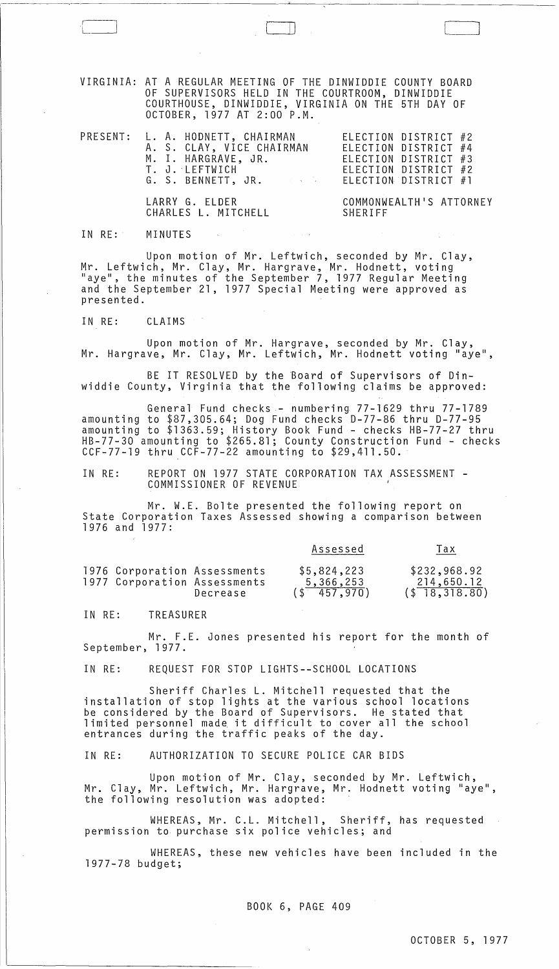VIRGINIA: AT A REGULAR MEETING OF THE DINWIDDIE COUNTY BOARD OF SUPERVISORS HELD IN THE COURTROOM, DINWIDDIE COURTHOUSE, DINWIDDIE, VIRGINIA ON THE 5TH DAY OF OCTOBER, 1977 AT 2:00 P.M.

| PRESENT: L. A. HODNETT, CHAIRMAN                    | ELECTION DISTRICT #2 |
|-----------------------------------------------------|----------------------|
| A. S. CLAY, VICE CHAIRMAN                           | ELECTION DISTRICT #4 |
| M. I. HARGRAVE, JR.                                 | ELECTION DISTRICT #3 |
| T. J. LEFTWICH                                      | ELECTION DISTRICT #2 |
| and the state of the state of<br>G. S. BENNETT, JR. | ELECTION DISTRICT #1 |
|                                                     |                      |

LARRY G. ELDER CHARLES L. MITCHELL

 $\begin{pmatrix} 1 & 1 & 1 \ 1 & 1 & 1 \end{pmatrix}$ 

COMMONWEALTH1S ATTORNEY SHERIFF

IN RE: MINUTES

Upon motion of Mr. Leftwich, seconded by Mr. Clay, Mr. Leftwich, Mr. Clay, Mr. Hargrave, Mr. Hodnett, voting "aye", the minutes of the September 7, 1977 Regular Meeting and the September 21, 1977 Special Meeting were approved as presented.

IN RE: CLAIMS

Upon motion of Mr. Hargrave, seconded by Mr. Clay, Mr. Hargrave, Mr. Clay, Mr. Leftwich, Mr. Hodnett voting "aye",

BE IT RESOLVED by the Board of Supervisors of Dinwiddie County, Virginia that the following claims be approved:

General Fund checks- numbering 77-1629 thru 77-1789 amounting to \$87,305.64; Dog Fund checks 0-77-86 thru 0-77-95 amounting to \$1363.59; History Book Fund - checks HB-77-27 thru HB-77-30 amounting to \$265.81; County Construction Fund - checks CCF-77-19 thru CCF-77-22 amounting to \$29,411.50.

IN RE: REPORT ON 1977 STATE CORPORATION TAX ASSESSMENT - COMMISSIONER OF REVENUE

Mr. W.E. Bolte presented the following report on State Corporation Taxes Assessed showing a comparison between 1976 and 1977:

|                                                              |          | Assessed                                    | Tax                                                          |
|--------------------------------------------------------------|----------|---------------------------------------------|--------------------------------------------------------------|
| 1976 Corporation Assessments<br>1977 Corporation Assessments | Decrease | \$5,824,223<br>5,366,253<br>$($ \$ 457.970) | \$232,968.92<br>214,650.12<br>$($ \$ $\overline{18,318.80})$ |

IN RE: TREASURER

Mr. F.E. Jones presented his report for the month of September, 1977.

IN RE: REQUEST FOR STOP LIGHTS--SCHOOL LOCATIONS

Sheriff Charles L. Mitchell requested that the installation of stop lights at the various school locations be considered by the Board of Supervisors. He stated that limited personnel made it difficult to cover all the school entrances during the traffic peaks of the day.

IN RE: AUTHORIZATION TO SECURE POLICE CAR BIDS

Upon motion of Mr. Clay, seconded by Mr. Leftwich, Mr. Clay, Mr. Leftwich, Mr. Hargrave, Mr. Hodnett voting "aye", the following resolution was adopted:

WHEREAS, Mr. C.L. Mitchell, Sheriff, has requested permission to purchase six police vehicles; and

WHEREAS, these new vehicles have been included in the 1977-78 budget;

BOOK 6, PAGE 409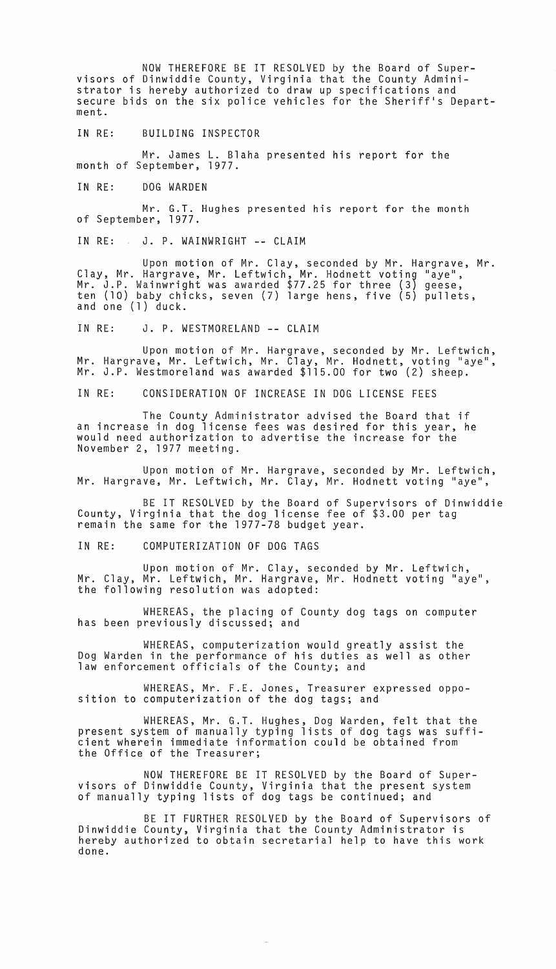NOW THEREFORE BE IT RESOLVED by the Board of Supervisors of Dinwiddie County, Virginia that the County Administrator is hereby authorized to draw up specifications and secure bids on the six police vehicles for the Sheriff's Department.

IN RE: BUILDING INSPECTOR

Mr. James L. Blaha presented his report for the month of September, 1977.

IN RE: DOG WARDEN

Mr. G.T. Hughes presented his report for the month of September, 1977.

IN RE: J. P. WAINWRIGHT **--** CLAIM

Upon motion of Mr. Clay, seconded by Mr. Hargrave, Mr. Clay, Mr. Hargrave, Mr. Leftwich, Mr. Hodnett voting "aye", Mr. J.P. Wainwright was awarded \$77.25 for three (3) geese, ten (10) baby chicks, seven (7) large hens, five (5) pullets,<br>and one (1) duck.

IN RE: J. P. WESTMORELAND **--** CLAIM

Upon motion of Mr. Hargrave, seconded by Mr. Leftwich, Mr. Hargrave, Mr. Leftwich, Mr. Clay, Mr. Hodnett, voting "aye", Mr. J.P. Westmoreland was awarded \$115.00 for two (2) sheep.

IN RE: CONSIDERATION OF INCREASE IN DOG LICENSE FEES

The County Administrator advised the Board that if an increase in dog license fees was desired for this year, he would need authorization to advertise the increase for the November 2, 1977 meeting.

Upon motion of Mr. Hargrave, seconded by Mr. Leftwich, Mr. Hargrave, Mr. Leftwich, Mr. Clay, Mr. Hodnett voting "aye",

BE IT RESOLVED by the Board of Supervisors of Dinwiddie County, Virginia that the dog license fee of \$3.00 per tag remain the same for the 1977-78 budget year.

IN RE: COMPUTERIZATION OF DOG TAGS

Upon motion of Mr. Clay, seconded by Mr. Leftwich, Mr. Clay, Mr. Leftwich, Mr. Hargrave, Mr. Hodnett voting "aye", the following resolution was adopted:

WHEREAS, the placing of County dog tags on computer has been previously discussed; and

WHEREAS, computerization would greatly assist the Dog Warden in the performance of his duties as well as other law enforcement officials of the County; and

WHEREAS, Mr. F.E. Jones, Treasurer expressed opposition to computerization of the dog tags; and

WHEREAS, Mr. G.T. Hughes, Dog Warden, felt that the present system of manually typing lists of dog tags was sufficient wherein immediate information could be obtained from the Office of the Treasurer;

NOW THEREFORE BE IT RESOLVED by the Board of Supervisors of Dinwiddie County, Virginia that the present system of manually typing lists of dog tags be continued; and

BE IT FURTHER RESOLVED by the Board of Supervisors Dinwiddie County, Virginia that the County Administrator is hereby authorized to obtain secretarial help to have this work done.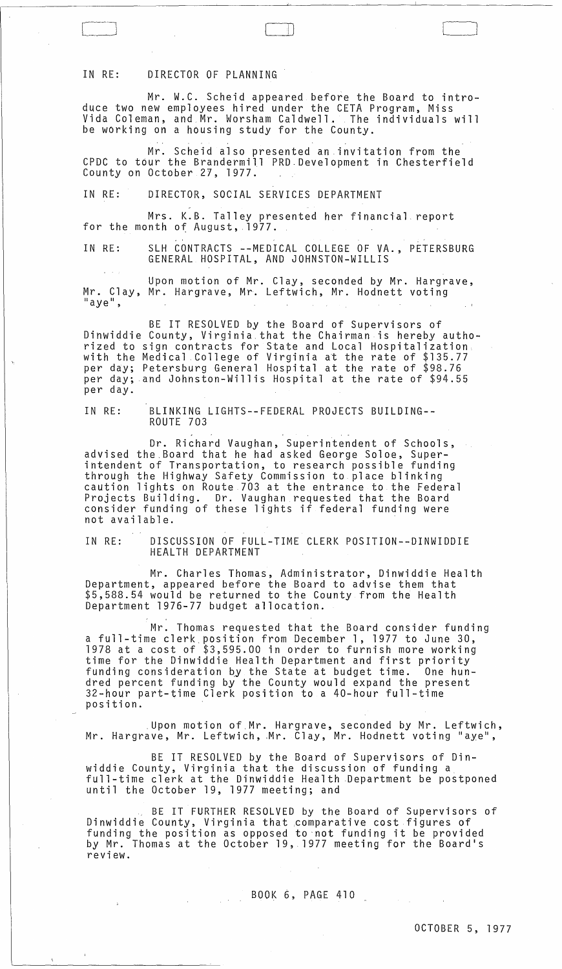## IN RE: DIRECTOR OF PLANNING

Mr. W.C. Scheid appeared before the Board to introduce two new employees hired under the CETA Program, Miss Vida Coleman, and Mr. Worsham Caldwell. The individuals will be working on a housing study for the County.

 $\Box$ 

. The contract of the contract of the contract of the contract of the contract of the contract of the contract of the contract of the contract of the contract of the contract of the contract of the contract of the contrac Mr. Scheid also presented an invitation from the CPDC to t6ur the Brandermill PRO. Development in Chesterfield County on October 27, 1977.

IN RE: DIRECTOR, SOCIAL SERVICES DEPARTMENT

Mrs. K.B. Talley presented her financial report<br>for the month of August, 1977.

IN RE: SLH CONTRACTS --MEDICAL COLLEGE OF VA., PETERSBURG GENERAL HOSPITAL, AND JOHNSTON-WILLIS

Upon motion of Mr. Clay, seconded by Mr. Hargrave, Mr. Clay, Mr. Hargrave, Mr. Leftwich, Mr. Hodnett voting<br>"aye",

BE IT RESOLVED by the Board of Supervisors of Dinwiddie County, Virginia that the Chairman is hereby authorized to sign contracts for State and Local Hospitalization. with the Medical College of Virginia at the rate of \$135.77 per day; Petersburg General Hospital at the rate of \$98.76 per day; and Johnston-Willis Hospital at the rate of \$94.55 per day.

IN RE: BLINKING LIGHTS--FEDERAL PROJECTS BUILDING-- ROUTE 703

Dr. Richard Vaughan, Superintendent of Schools, advised the.Board that he had asked George Soloe, Superintendent of Transportation, to research possible funding through the Highway Safety Commission to place blinking caution lights on Route 703 at the entrance to the Federal Projects Building. Dr. Vaughan requested that the Board consider funding of these lights if federal funding were not available.

IN RE: DISCUSSION OF FULL-TIME CLERK POSITION--DINWIDDIE HEALTH DEPARTMENT

Mr. Charles Thomas, Administrator, Dinwiddie Health Department, appeared before the Board to advise them that \$5,588.54 would be returned to the County from the Health Department 1976-77 budget allocation.

Mr. Thomas requested that the Board consider funding a full-time clerk position from December 1, 1977 to June 30, 1978 at a cost of \$3,595.00 in order to furnish more working time for the Dinwiddie Health Department and first priority funding consideration by the State at budget time. One hundred percent funding by the County would expand the present 32-hour part-time Clerk position to a 40-hour full-time position .

. Upon motion of.Mr. Hargrave, seconded by Mr. Leftwich, Mr. Hargrave, Mr. Leftwich, Mr. Clay, Mr. Hodnett voting "aye",

BE IT RESOLVED by the Board of Supervisors of Dinwiddie County, Virginia that the discussion of funding a full-time clerk at the Dinwiddie Health .Department be postponed until the October 19, 1977 meeting; and

BE IT FURTHER RESOLVED by the Board of Supervisors of Dinwiddie County, Virginia that comparative cost figures of funding the position as opposed to'not funding it be provided by Mr. Thomas at the October 19, 1977 meeting for the Board's review.

## BOOK 6, PAGE 410

 $\Delta$  -  $\sim$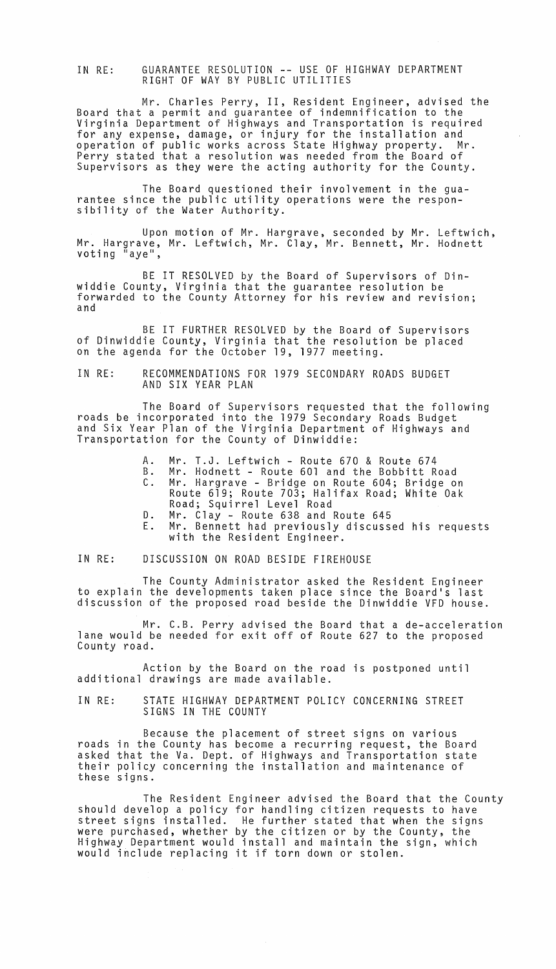IN RE: GUARANTEE RESOLUTION **--** USE OF HIGHWAY DEPARTMENT RIGHT OF WAY BY PUBLIC UTILITIES

Mr. Charles Perry, II, Resident Engineer, advised the Board that a permit and guarantee of indemnification to the Virginia Department of Highways and Transportation is required for any expense, damage, or injury for the installation and operation of public works across State Highway property. Mr. Perry stated that a resolution was needed from the Board of Supervisors as they were the acting authority for the County.

The Board questioned their involvement in the guarantee since the public utility operations were the respon- sibility of the Water Authority.

Upon motion of Mr. Hargrave, seconded by Mr. Leftwich, Mr. Hargrave, Mr. Leftwich, Mr. Clay, Mr. Bennett, Mr. Hodnett voting "aye",

BE IT RESOLVED by the Board of Supervisors of Dinwiddie County, Virginia that the guarantee resolution be forwarded to the County Attorney for his review and revision; and

BE IT FURTHER RESOLVED by the Board of Supervisors of Dinwiddie County, Virginia that the resolution be placed on the agenda for the October 19, 1977 meeting.

IN RE: RECOMMENDATIONS FOR 1979 SECONDARY ROADS BUDGET AND SIX YEAR PLAN

The Board of Supervisors requested that the following roads be incorporated into the 1979 Secondary Roads Budget and Six Year Plan of the Virginia Department of Highways and Transportation for the County of Dinwiddie:

- A. Mr. T.J. Leftwich Route 670 & Route 674
- B. Mr. Hodnett Route 601 and the Bobbitt Road Mr. Hargrave - Bridge on Route 604; Bridge on
- Route 619; Route 703; Halifax Road; White Oak Road; Squirrel Level Road
- D. Mr. Clay Route 638 and Route 645
- E. Mr. Bennett had previously discussed his requests with the Resident Engineer.

IN RE: DISCUSSION ON ROAD BESIDE FIREHOUSE

The County Administrator asked the Resident Engineer to explain the developments taken place since the Board's last discussion of the proposed road beside the Dinwiddie VFD house.

Mr. C.B. Perry advised the Board that a de-acceleration lane would be needed for exit off of Route 627 to the proposed County road.

Action by the Board on the road is postponed until additional drawings are made available.

IN RE: STATE HIGHWAY DEPARTMENT POLICY CONCERNING STREET SIGNS IN THE COUNTY

Because the placement of street signs on various roads in the County has become a recurring request, the Board asked that the Va. Dept. of Highways and Transportation state their policy concerning the installation and maintenance of these signs.

The Resident Engineer advised the Board that the County should develop a policy for handling citizen requests to have street signs installed. He further stated that when the signs were purchased, whether by the citizen or by the County, the Highway Department would install and maintain the sign, which would include replacing it if torn down or stolen.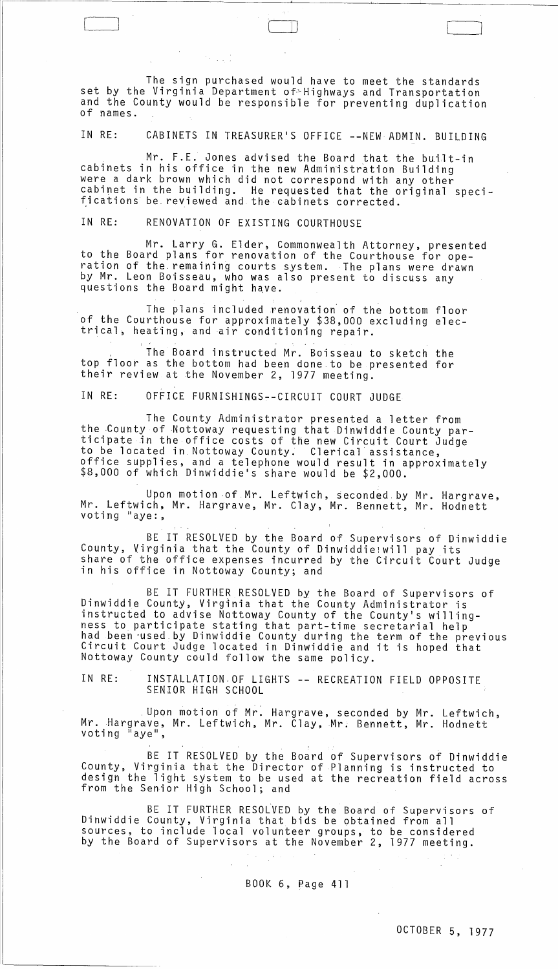The sign purchased would have to meet the standards set by the Virginia Department of~Highways and Transportation and the County would be responsible for preventing duplication of names.

 $\Box$ 

IN RE: CABINETS IN TREASURER'S OFFICE -- NEW ADMIN. BUILDING

Mr. F.E. Jones advised the Board that the built-in cabinets in his office in the new Administration Building were a dark brown which did not correspond with any other cabinet in the building. He requested that the original speci- fications be. reviewed and the cabinets corrected.

IN RE: RENOVATION OF EXISTING COURTHOUSE

 $\mathcal{A} \in \mathcal{A}$  ,  $\mathcal{A} \in \mathcal{A}$ 

Mr. Larry G. Elder, Commonwealth Attorney, presented to the Board plans for renovation of the Courthouse for operation of the. remaining courts system. The plans were drawn by Mr. Leon Boisseau, who was also present to discuss any questions the Board might have.

The plans included renovation' of the bottom floor of the Courthouse for approximately \$38,000 excluding elec trical, heating, and air conditioning repair.

. The Board instructed Mr. Boisseau to sketch the top floor as the bottom had been done to be presented for their review at the November 2, 1977 meeting.

IN RE: OFFICE FURNISHINGS--CIRCUIT COURT JUDGE

The County Administrator presented a letter from<br>the County of Nottoway requesting that Dinwiddie County participate in the office costs of the new Circuit Court Judge to be located in Nottoway County. Clerical assistance, office supplies, and a telephone would result in approximately \$8,000 of which Dinwiddie's share would be \$2,000.

Upon motion of Mr. Leftwich, seconded by Mr. Hargrave,<br>Mr. Leftwich, Mr. Hargrave, Mr. Clay, Mr. Bennett, Mr. Hodnett voting "aye:,

BE IT RESOLVED by the Board of Supervisors of Dinwiddie County, Virginia that the County of Dinwiddielwill pay its share of the office expenses incurred by the Circuit Court Judge<br>in his office in Nottoway County; and

BE IT FURTHER RESOLVED by the Board of Supervisors of Dinwiddie County, Virginia that the County Administrator is instructed to advise Nottoway County of the County's willingness to participate stating that part-time secretarial help<br>had been used by Dinwiddie County during the term of the previous<br>Circuit Court Judge located in Dinwiddie and it is hoped that Nottoway County could follow the same policy.

IN RE: INSTALLATION.OF LIGHTS -- RECREATION FIELD OPPOSITE SENIOR HIGH SCHOOL

. Upon motion of Mr. Hargrave, seconded by Mr. Leftwich, Mr. Hargrave, Mr. Leftwich, Mr. Clay, Mr. Bennett, Mr. Hodnett voting "aye",

BE IT RESOLVED by the Board of Supervisors of Dinwiddie County, Virginia that the Director of Planning is instructed to design the light system to be used at the recreation field across from the Senior High School; and

BE IT FURTHER RESOLVED by the Board of Supervisors of Dinwiddie County, Virginia that bids be obtained from all sources, to include local volunteer groups, to be considered by the Board of Supervisors at the November 2, 1977 meeting.

BOOK 6, Page 411

 $\sim 10^{-1}$